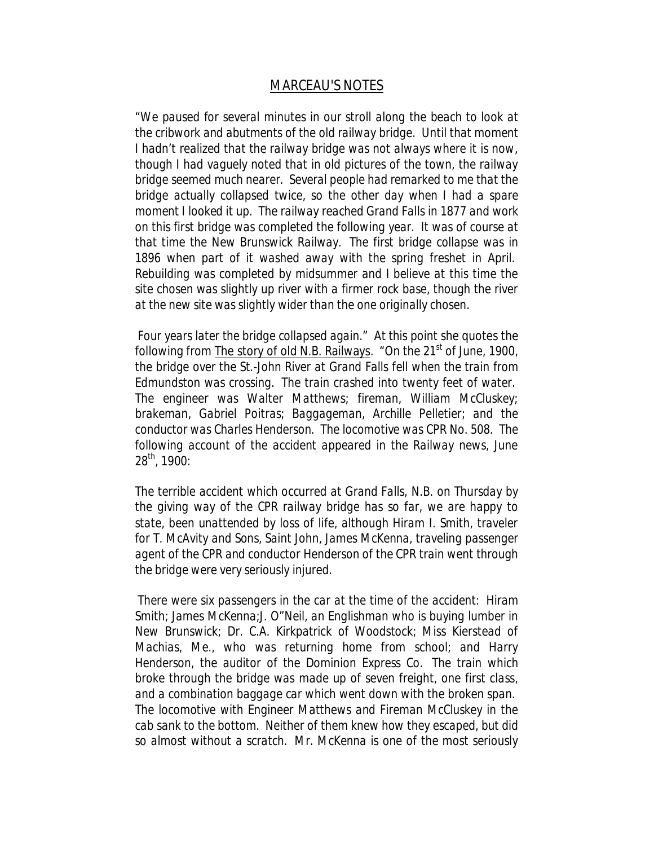## *MARCEAU'S NOTES*

"*We paused for several minutes in our stroll along the beach to look at the cribwork and abutments of the old railway bridge. Until that moment I hadn't realized that the railway bridge was not always where it is now, though I had vaguely noted that in old pictures of the town, the railway bridge seemed much nearer. Several people had remarked to me that the bridge actually collapsed twice, so the other day when I had a spare moment I looked it up. The railway reached Grand Falls in 1877 and work on this first bridge was completed the following year. It was of course at that time the New Brunswick Railway. The first bridge collapse was in 1896 when part of it washed away with the spring freshet in April. Rebuilding was completed by midsummer and I believe at this time the site chosen was slightly up river with a firmer rock base, though the river at the new site was slightly wider than the one originally chosen.*

*Four years later the bridge collapsed again."* At this point she quotes the following from The story of old N.B. Railways*. "On the 21st of June, 1900, the bridge over the St.-John River at Grand Falls fell when the train from Edmundston was crossing. The train crashed into twenty feet of water. The engineer was Walter Matthews; fireman, William McCluskey; brakeman, Gabriel Poitras; Baggageman, Archille Pelletier; and the conductor was Charles Henderson. The locomotive was CPR No. 508. The following account of the accident appeared in the Railway news, June 28th, 1900:*

*The terrible accident which occurred at Grand Falls, N.B. on Thursday by the giving way of the CPR railway bridge has so far, we are happy to state, been unattended by loss of life, although Hiram I. Smith, traveler for T. McAvity and Sons, Saint John, James McKenna, traveling passenger agent of the CPR and conductor Henderson of the CPR train went through the bridge were very seriously injured.*

*There were six passengers in the car at the time of the accident: Hiram Smith; James McKenna;J. O"Neil, an Englishman who is buying lumber in New Brunswick; Dr. C.A. Kirkpatrick of Woodstock; Miss Kierstead of Machias, Me., who was returning home from school; and Harry Henderson, the auditor of the Dominion Express Co. The train which broke through the bridge was made up of seven freight, one first class, and a combination baggage car which went down with the broken span. The locomotive with Engineer Matthews and Fireman McCluskey in the cab sank to the bottom. Neither of them knew how they escaped, but did so almost without a scratch. Mr. McKenna is one of the most seriously*